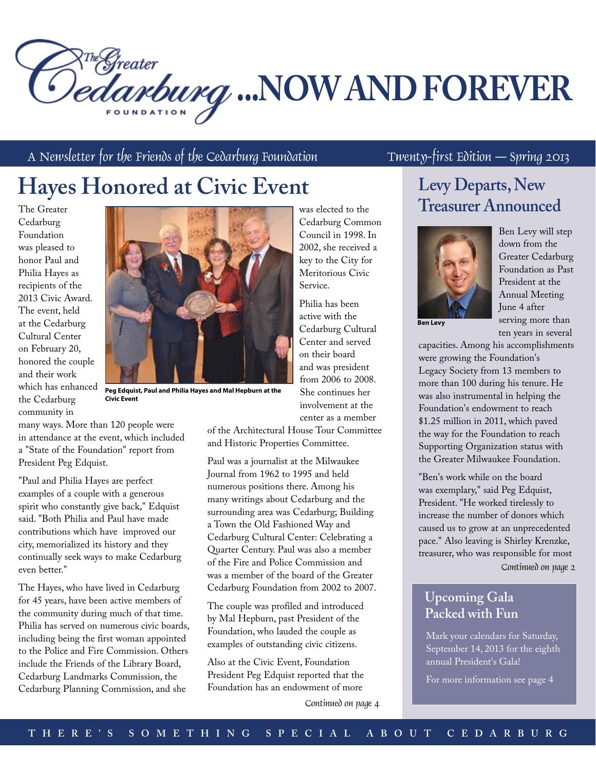

A Newsletter for the Friends of the Cedarburg Foundation Twenty-first Edition – Spring 2013

# **Hayes Honored at Civic Event**

The Greater Cedarburg Foundation was pleased to honor Paul and Philia Hayes as recipients of the 2013 Civic Award. The event, held at the Cedarburg Cultural Center on February 20, honored the couple and their work which has enhanced the Cedarburg community in



**Peg Edquist, Paul and Philia Hayes and Mal Hepburn at the Civic Event**

many ways. More than 120 people were in attendance at the event, which included a "State of the Foundation" report from President Peg Edquist.

"Paul and Philia Hayes are perfect examples of a couple with a generous spirit who constantly give back," Edquist said. "Both Philia and Paul have made contributions which have improved our city, memorialized its history and they continually seek ways to make Cedarburg even better."

The Hayes, who have lived in Cedarburg for 45 years, have been active members of the community during much of that time. Philia has served on numerous civic boards, including being the first woman appointed to the Police and Fire Commission. Others include the Friends of the Library Board, Cedarburg Landmarks Commission, the Cedarburg Planning Commission, and she

was elected to the Cedarburg Common Council in 1998. In 2002, she received a key to the City for Meritorious Civic Service.

Philia has been active with the Cedarburg Cultural Center and served on their board and was president from 2006 to 2008. She continues her involvement at the center as a member

of the Architectural House Tour Committee and Historic Properties Committee.

Paul was a journalist at the Milwaukee Journal from 1962 to 1995 and held numerous positions there. Among his many writings about Cedarburg and the surrounding area was Cedarburg; Building a Town the Old Fashioned Way and Cedarburg Cultural Center: Celebrating a Quarter Century. Paul was also a member of the Fire and Police Commission and was a member of the board of the Greater Cedarburg Foundation from 2002 to 2007.

The couple was profiled and introduced by Mal Hepburn, past President of the Foundation, who lauded the couple as examples of outstanding civic citizens.

Also at the Civic Event, Foundation President Peg Edquist reported that the Foundation has an endowment of more

Continued on page 4

### **Levy Departs, New Treasurer Announced**



Ben Levy will step down from the Greater Cedarburg Foundation as Past President at the Annual Meeting June 4 after serving more than ten years in several

**Ben Levy**

capacities. Among his accomplishments were growing the Foundation's Legacy Society from 13 members to more than 100 during his tenure. He was also instrumental in helping the Foundation's endowment to reach \$1.25 million in 2011, which paved the way for the Foundation to reach Supporting Organization status with the Greater Milwaukee Foundation.

"Ben's work while on the board was exemplary," said Peg Edquist, President. "He worked tirelessly to increase the number of donors which caused us to grow at an unprecedented pace." Also leaving is Shirley Krenzke, treasurer, who was responsible for most Continued on page 2

#### **Upcoming Gala Packed with Fun**

Mark your calendars for Saturday, September 14, 2013 for the eighth annual President's Gala!

For more information see page 4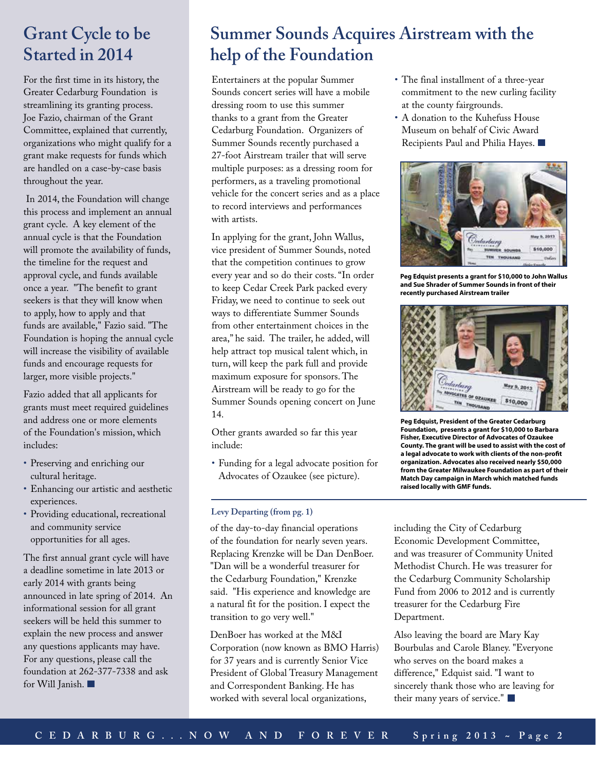### **Grant Cycle to be Started in 2014**

For the first time in its history, the Greater Cedarburg Foundation is streamlining its granting process. Joe Fazio, chairman of the Grant Committee, explained that currently, organizations who might qualify for a grant make requests for funds which are handled on a case-by-case basis throughout the year.

 In 2014, the Foundation will change this process and implement an annual grant cycle. A key element of the annual cycle is that the Foundation will promote the availability of funds, the timeline for the request and approval cycle, and funds available once a year. "The benefit to grant seekers is that they will know when to apply, how to apply and that funds are available," Fazio said. "The Foundation is hoping the annual cycle will increase the visibility of available funds and encourage requests for larger, more visible projects."

Fazio added that all applicants for grants must meet required guidelines and address one or more elements of the Foundation's mission, which includes:

- • Preserving and enriching our cultural heritage.
- • Enhancing our artistic and aesthetic experiences.
- • Providing educational, recreational and community service opportunities for all ages.

The first annual grant cycle will have a deadline sometime in late 2013 or early 2014 with grants being announced in late spring of 2014. An informational session for all grant seekers will be held this summer to explain the new process and answer any questions applicants may have. For any questions, please call the foundation at 262-377-7338 and ask for Will Janish.

## **Summer Sounds Acquires Airstream with the help of the Foundation**

Entertainers at the popular Summer Sounds concert series will have a mobile dressing room to use this summer thanks to a grant from the Greater Cedarburg Foundation. Organizers of Summer Sounds recently purchased a 27-foot Airstream trailer that will serve multiple purposes: as a dressing room for performers, as a traveling promotional vehicle for the concert series and as a place to record interviews and performances with artists.

In applying for the grant, John Wallus, vice president of Summer Sounds, noted that the competition continues to grow every year and so do their costs. "In order to keep Cedar Creek Park packed every Friday, we need to continue to seek out ways to differentiate Summer Sounds from other entertainment choices in the area," he said. The trailer, he added, will help attract top musical talent which, in turn, will keep the park full and provide maximum exposure for sponsors. The Airstream will be ready to go for the Summer Sounds opening concert on June 14.

Other grants awarded so far this year include:

• Funding for a legal advocate position for Advocates of Ozaukee (see picture).

#### **Levy Departing (from pg. 1)**

of the day-to-day financial operations of the foundation for nearly seven years. Replacing Krenzke will be Dan DenBoer. "Dan will be a wonderful treasurer for the Cedarburg Foundation," Krenzke said. "His experience and knowledge are a natural fit for the position. I expect the transition to go very well."

DenBoer has worked at the M&I Corporation (now known as BMO Harris) for 37 years and is currently Senior Vice President of Global Treasury Management and Correspondent Banking. He has worked with several local organizations,

- • The final installment of a three-year commitment to the new curling facility at the county fairgrounds.
- • A donation to the Kuhefuss House Museum on behalf of Civic Award Recipients Paul and Philia Hayes.



**Peg Edquist presents a grant for \$10,000 to John Wallus and Sue Shrader of Summer Sounds in front of their recently purchased Airstream trailer**



**Peg Edquist, President of the Greater Cedarburg Foundation, presents a grant for \$10,000 to Barbara Fisher, Executive Director of Advocates of Ozaukee County. The grant will be used to assist with the cost of a legal advocate to work with clients of the non-profit organization. Advocates also received nearly \$50,000 from the Greater Milwaukee Foundation as part of their Match Day campaign in March which matched funds raised locally with GMF funds.** 

including the City of Cedarburg Economic Development Committee, and was treasurer of Community United Methodist Church. He was treasurer for the Cedarburg Community Scholarship Fund from 2006 to 2012 and is currently treasurer for the Cedarburg Fire Department.

Also leaving the board are Mary Kay Bourbulas and Carole Blaney. "Everyone who serves on the board makes a difference," Edquist said. "I want to sincerely thank those who are leaving for their many years of service."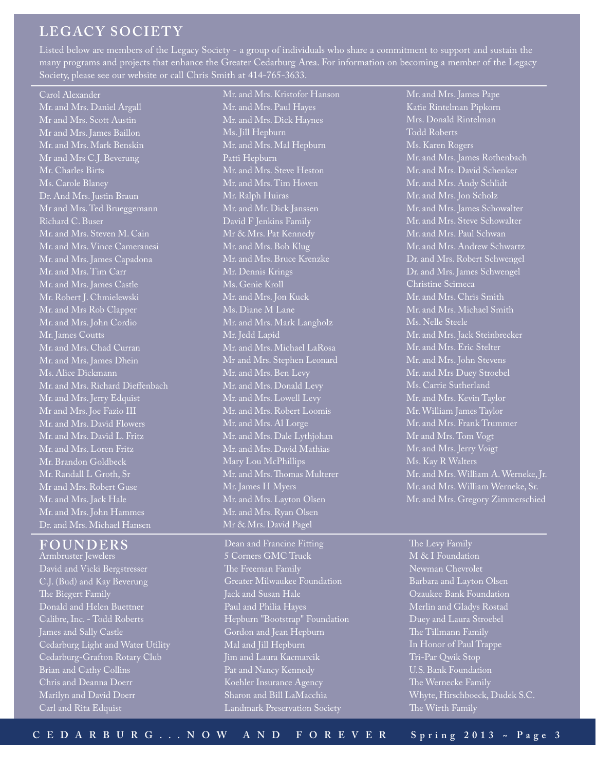### **LEGACY SOCIET Y**

Listed below are members of the Legacy Society - a group of individuals who share a commitment to support and sustain the many programs and projects that enhance the Greater Cedarburg Area. For information on becoming a member of the Legacy Society, please see our website or call Chris Smith at 414-765-3633.

Carol Alexander Mr. and Mrs. Daniel Argall Mr and Mrs. Scott Austin Mr and Mrs. James Baillon Mr. and Mrs. Mark Benskin Mr and Mrs C.J. Beverung Mr. Charles Birts Ms. Carole Blaney Dr. And Mrs. Justin Braun Mr and Mrs. Ted Brueggemann Richard C. Buser Mr. and Mrs. Steven M. Cain Mr. and Mrs. Vince Cameranesi Mr. and Mrs. James Capadona Mr. and Mrs. Tim Carr Mr. and Mrs. James Castle Mr. Robert J. Chmielewski Mr. and Mrs Rob Clapper Mr. and Mrs. John Cordio Mr. James Coutts Mr. and Mrs. Chad Curran Mr. and Mrs. James Dhein Ms. Alice Dickmann Mr. and Mrs. Richard Dieffenbach Mr. and Mrs. Jerry Edquist Mr and Mrs. Joe Fazio III Mr. and Mrs. David Flowers Mr. and Mrs. David L. Fritz Mr. and Mrs. Loren Fritz Mr. Brandon Goldbeck Mr. Randall L Groth, Sr Mr and Mrs. Robert Guse Mr. and Mrs. Jack Hale Mr. and Mrs. John Hammes Dr. and Mrs. Michael Hansen

#### **FOUNDERS**

Armbruster Jewelers David and Vicki Bergstresser C.J. (Bud) and Kay Beverung The Biegert Family Donald and Helen Buettner Calibre, Inc. - Todd Roberts James and Sally Castle Cedarburg Light and Water Utility Cedarburg-Grafton Rotary Club Brian and Cathy Collins Chris and Deanna Doerr Marilyn and David Doerr Carl and Rita Edquist

Mr. and Mrs. Kristofor Hanson Mr. and Mrs. Paul Hayes Mr. and Mrs. Dick Haynes Ms. Jill Hepburn Mr. and Mrs. Mal Hepburn Patti Hepburn Mr. and Mrs. Steve Heston Mr. and Mrs. Tim Hoven Mr. Ralph Huiras Mr. and Mr. Dick Janssen David F Jenkins Family Mr & Mrs. Pat Kennedy Mr. and Mrs. Bob Klug Mr. and Mrs. Bruce Krenzke Mr. Dennis Krings Ms. Genie Kroll Mr. and Mrs. Jon Kuck Ms. Diane M Lane Mr. and Mrs. Mark Langholz Mr. Jedd Lapid Mr. and Mrs. Michael LaRosa Mr and Mrs. Stephen Leonard Mr. and Mrs. Ben Levy Mr. and Mrs. Donald Levy Mr. and Mrs. Lowell Levy Mr. and Mrs. Robert Loomis Mr. and Mrs. Al Lorge Mr. and Mrs. Dale Lythjohan Mr. and Mrs. David Mathias Mary Lou McPhillips Mr. and Mrs. Thomas Multerer Mr. James H Myers Mr. and Mrs. Layton Olsen Mr. and Mrs. Ryan Olsen Mr & Mrs. David Pagel

Dean and Francine Fitting 5 Corners GMC Truck The Freeman Family Greater Milwaukee Foundation Jack and Susan Hale Paul and Philia Hayes Hepburn "Bootstrap" Foundation Gordon and Jean Hepburn Mal and Jill Hepburn Jim and Laura Kacmarcik Pat and Nancy Kennedy Koehler Insurance Agency Sharon and Bill LaMacchia Landmark Preservation Society

Mr. and Mrs. James Pape Katie Rintelman Pipkorn Mrs. Donald Rintelman Todd Roberts Ms. Karen Rogers Mr. and Mrs. James Rothenbach Mr. and Mrs. David Schenker Mr. and Mrs. Andy Schlidt Mr. and Mrs. Jon Scholz Mr. and Mrs. James Schowalter Mr. and Mrs. Steve Schowalter Mr. and Mrs. Paul Schwan Mr. and Mrs. Andrew Schwartz Dr. and Mrs. Robert Schwengel Dr. and Mrs. James Schwengel Christine Scimeca Mr. and Mrs. Chris Smith Mr. and Mrs. Michael Smith Ms. Nelle Steele Mr. and Mrs. Jack Steinbrecker Mr. and Mrs. Eric Stelter Mr. and Mrs. John Stevens Mr. and Mrs Duey Stroebel Ms. Carrie Sutherland Mr. and Mrs. Kevin Taylor Mr. William James Taylor Mr. and Mrs. Frank Trummer Mr and Mrs. Tom Vogt Mr. and Mrs. Jerry Voigt Ms. Kay R Walters Mr. and Mrs. William A. Werneke, Jr. Mr. and Mrs. William Werneke, Sr. Mr. and Mrs. Gregory Zimmerschied

The Levy Family M & I Foundation Newman Chevrolet Barbara and Layton Olsen Ozaukee Bank Foundation Merlin and Gladys Rostad Duey and Laura Stroebel The Tillmann Family In Honor of Paul Trappe Tri-Par Qwik Stop U.S. Bank Foundation The Wernecke Family Whyte, Hirschboeck, Dudek S.C. The Wirth Family